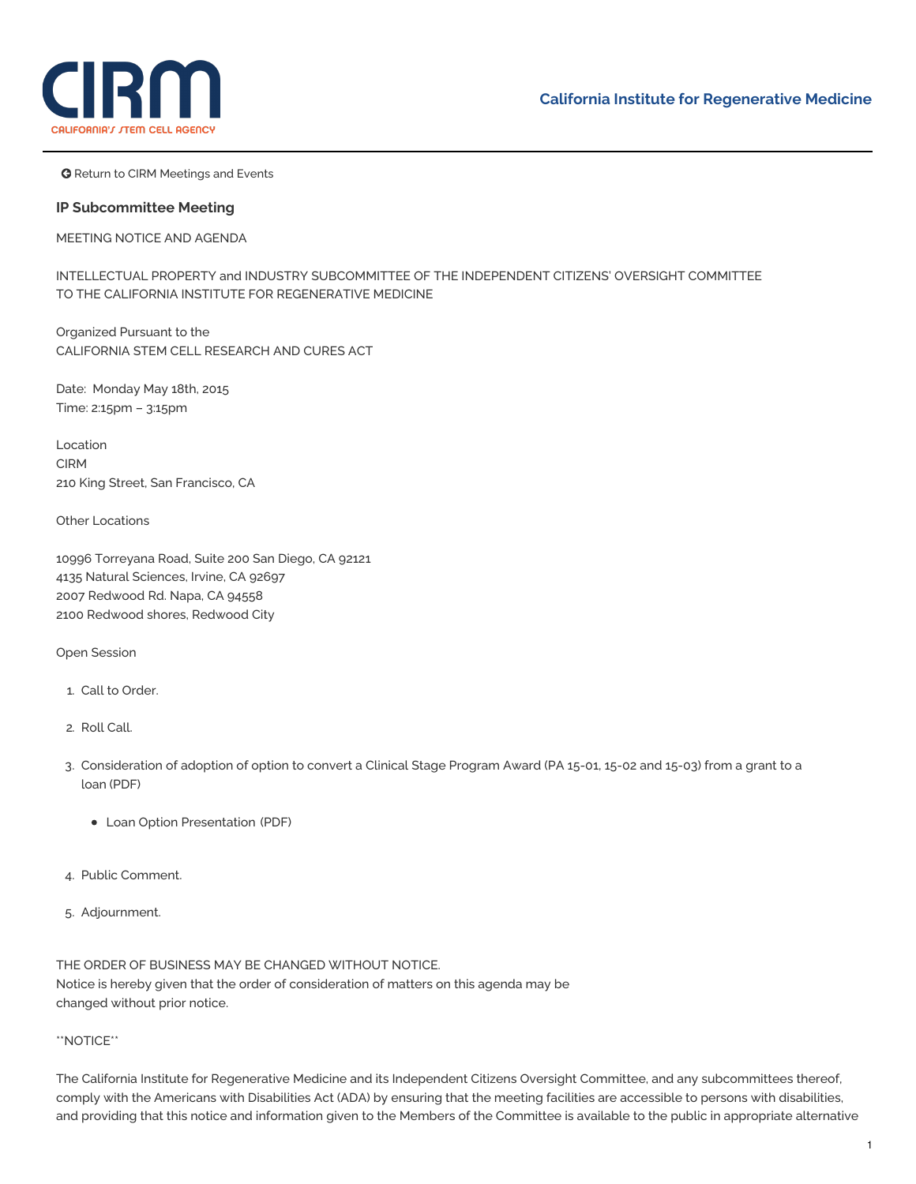

**G** Return to CIRM Meetings and Events

## **IP Subcommittee Meeting**

MEETING NOTICE AND AGENDA

INTELLECTUAL PROPERTY and INDUSTRY SUBCOMMITTEE OF THE INDEPENDENT CITIZENS' OVERSIGHT COMMITTEE TO THE CALIFORNIA INSTITUTE FOR REGENERATIVE MEDICINE

Organized Pursuant to the CALIFORNIA STEM CELL RESEARCH AND CURES ACT

Date: Monday May 18th, 2015 Time: 2:15pm – 3:15pm

Location CIRM 210 King Street, San Francisco, CA

Other Locations

 Torreyana Road, Suite 200 San Diego, CA 92121 Natural Sciences, Irvine, CA 92697 Redwood Rd. Napa, CA 94558 Redwood shores, Redwood City

Open Session

- 1. Call to Order.
- 2. Roll Call.
- 3. [Consideration](https://www.cirm.ca.gov/sites/default/files/files/agenda/150518_Agenda_3_LoanOption.pdf) of adoption of option to convert a Clinical Stage Program Award (PA 15-01, 15-02 and 15-03) from a grant to a loan (PDF)
	- Loan Option [Presentation](https://www.cirm.ca.gov/sites/default/files/files/agenda/150518_Agenda_3_LoanOption_Presentation.pdf) (PDF)
- 4. Public Comment.
- 5. Adjournment.

THE ORDER OF BUSINESS MAY BE CHANGED WITHOUT NOTICE. Notice is hereby given that the order of consideration of matters on this agenda may be changed without prior notice.

\*\*NOTICE\*\*

The California Institute for Regenerative Medicine and its Independent Citizens Oversight Committee, and any subcommittees thereof, comply with the Americans with Disabilities Act (ADA) by ensuring that the meeting facilities are accessible to persons with disabilities, and providing that this notice and information given to the Members of the Committee is available to the public in appropriate alternative